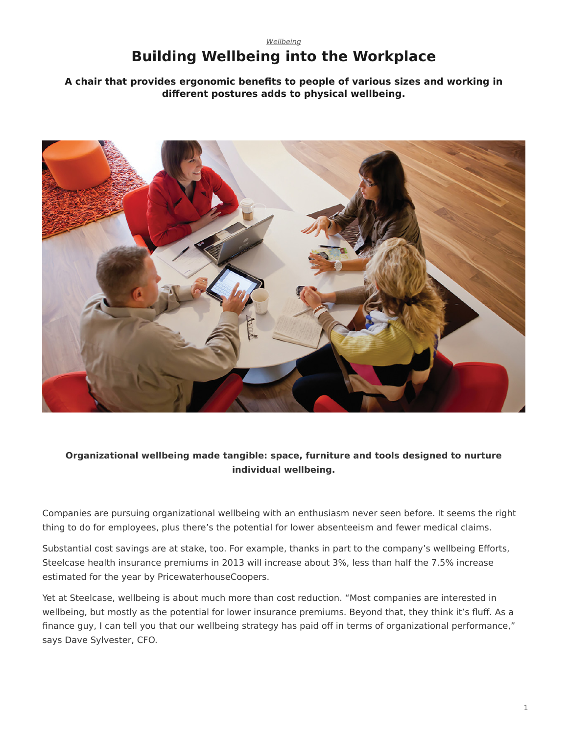### <span id="page-0-0"></span>*[Wellbeing](https://www.steelcase.com/research/topics/wellbeing/)* **Building Wellbeing into the Workplace**

**A chair that provides ergonomic benefits to people of various sizes and working in different postures adds to physical wellbeing.**



#### **Organizational wellbeing made tangible: space, furniture and tools designed to nurture individual wellbeing.**

Companies are pursuing organizational wellbeing with an enthusiasm never seen before. It seems the right thing to do for employees, plus there's the potential for lower absenteeism and fewer medical claims.

Substantial cost savings are at stake, too. For example, thanks in part to the company's wellbeing Efforts, Steelcase health insurance premiums in 2013 will increase about 3%, less than half the 7.5% increase estimated for the year by PricewaterhouseCoopers.

Yet at Steelcase, wellbeing is about much more than cost reduction. "Most companies are interested in wellbeing, but mostly as the potential for lower insurance premiums. Beyond that, they think it's fluff. As a finance guy, I can tell you that our wellbeing strategy has paid off in terms of organizational performance," says Dave Sylvester, CFO.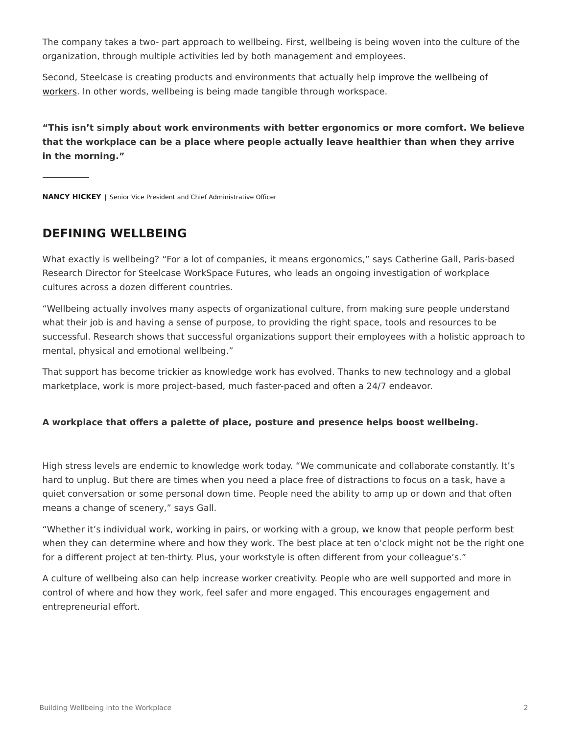The company takes a two- part approach to wellbeing. First, wellbeing is being woven into the culture of the organization, through multiple activities led by both management and employees.

Second, Steelcase is creating products and environments that actually help [improve the wellbeing of](https://www.steelcase.com/employee-wellbeing/) [workers](https://www.steelcase.com/employee-wellbeing/). In other words, wellbeing is being made tangible through workspace.

**"This isn't simply about work environments with better ergonomics or more comfort. We believe that the workplace can be a place where people actually leave healthier than when they arrive in the morning."**

**NANCY HICKEY** | Senior Vice President and Chief Administrative Officer

# **DEFINING WELLBEING**

What exactly is wellbeing? "For a lot of companies, it means ergonomics," says Catherine Gall, Paris-based Research Director for Steelcase WorkSpace Futures, who leads an ongoing investigation of workplace cultures across a dozen different countries.

"Wellbeing actually involves many aspects of organizational culture, from making sure people understand what their job is and having a sense of purpose, to providing the right space, tools and resources to be successful. Research shows that successful organizations support their employees with a holistic approach to mental, physical and emotional wellbeing."

That support has become trickier as knowledge work has evolved. Thanks to new technology and a global marketplace, work is more project-based, much faster-paced and often a 24/7 endeavor.

#### **A workplace that offers a palette of place, posture and presence helps boost wellbeing.**

High stress levels are endemic to knowledge work today. "We communicate and collaborate constantly. It's hard to unplug. But there are times when you need a place free of distractions to focus on a task, have a quiet conversation or some personal down time. People need the ability to amp up or down and that often means a change of scenery," says Gall.

"Whether it's individual work, working in pairs, or working with a group, we know that people perform best when they can determine where and how they work. The best place at ten o'clock might not be the right one for a different project at ten-thirty. Plus, your workstyle is often different from your colleague's."

A culture of wellbeing also can help increase worker creativity. People who are well supported and more in control of where and how they work, feel safer and more engaged. This encourages engagement and entrepreneurial effort.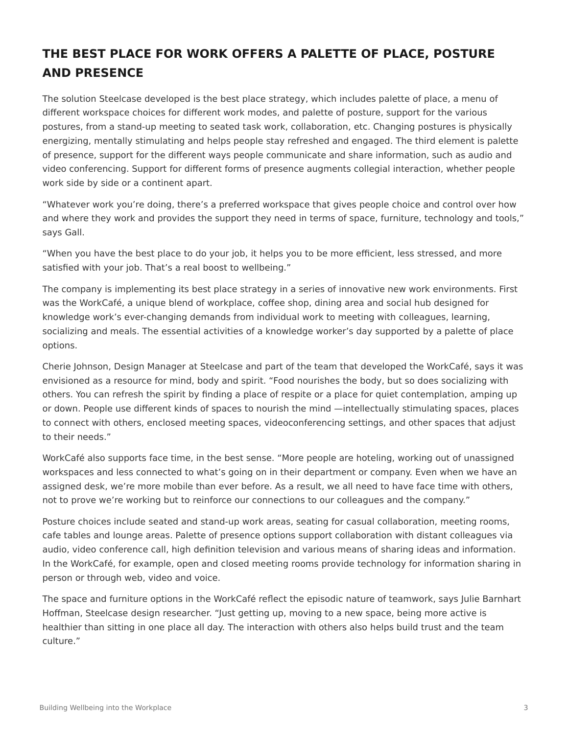# **THE BEST PLACE FOR WORK OFFERS A PALETTE OF PLACE, POSTURE AND PRESENCE**

The solution Steelcase developed is the best place strategy, which includes palette of place, a menu of different workspace choices for different work modes, and palette of posture, support for the various postures, from a stand-up meeting to seated task work, collaboration, etc. Changing postures is physically energizing, mentally stimulating and helps people stay refreshed and engaged. The third element is palette of presence, support for the different ways people communicate and share information, such as audio and video conferencing. Support for different forms of presence augments collegial interaction, whether people work side by side or a continent apart.

"Whatever work you're doing, there's a preferred workspace that gives people choice and control over how and where they work and provides the support they need in terms of space, furniture, technology and tools," says Gall.

"When you have the best place to do your job, it helps you to be more efficient, less stressed, and more satisfied with your job. That's a real boost to wellbeing."

The company is implementing its best place strategy in a series of innovative new work environments. First was the WorkCafé, a unique blend of workplace, coffee shop, dining area and social hub designed for knowledge work's ever-changing demands from individual work to meeting with colleagues, learning, socializing and meals. The essential activities of a knowledge worker's day supported by a palette of place options.

Cherie Johnson, Design Manager at Steelcase and part of the team that developed the WorkCafé, says it was envisioned as a resource for mind, body and spirit. "Food nourishes the body, but so does socializing with others. You can refresh the spirit by finding a place of respite or a place for quiet contemplation, amping up or down. People use different kinds of spaces to nourish the mind —intellectually stimulating spaces, places to connect with others, enclosed meeting spaces, videoconferencing settings, and other spaces that adjust to their needs."

WorkCafé also supports face time, in the best sense. "More people are hoteling, working out of unassigned workspaces and less connected to what's going on in their department or company. Even when we have an assigned desk, we're more mobile than ever before. As a result, we all need to have face time with others, not to prove we're working but to reinforce our connections to our colleagues and the company."

Posture choices include seated and stand-up work areas, seating for casual collaboration, meeting rooms, cafe tables and lounge areas. Palette of presence options support collaboration with distant colleagues via audio, video conference call, high definition television and various means of sharing ideas and information. In the WorkCafé, for example, open and closed meeting rooms provide technology for information sharing in person or through web, video and voice.

The space and furniture options in the WorkCafé reflect the episodic nature of teamwork, says Julie Barnhart Hoffman, Steelcase design researcher. "Just getting up, moving to a new space, being more active is healthier than sitting in one place all day. The interaction with others also helps build trust and the team culture."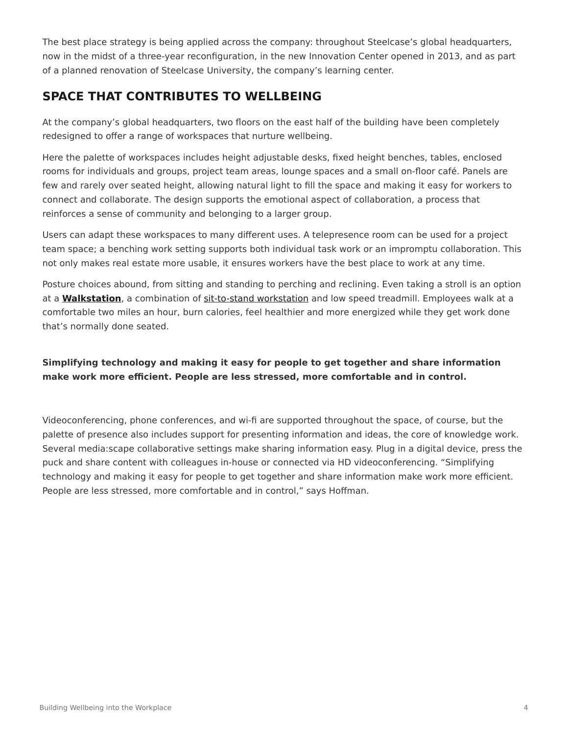The best place strategy is being applied across the company: throughout Steelcase's global headquarters, now in the midst of a three-year reconfiguration, in the new Innovation Center opened in 2013, and as part of a planned renovation of Steelcase University, the company's learning center.

# **SPACE THAT CONTRIBUTES TO WELLBEING**

At the company's global headquarters, two floors on the east half of the building have been completely redesigned to offer a range of workspaces that nurture wellbeing.

Here the palette of workspaces includes height adjustable desks, fixed height benches, tables, enclosed rooms for individuals and groups, project team areas, lounge spaces and a small on-floor café. Panels are few and rarely over seated height, allowing natural light to fill the space and making it easy for workers to connect and collaborate. The design supports the emotional aspect of collaboration, a process that reinforces a sense of community and belonging to a larger group.

Users can adapt these workspaces to many different uses. A telepresence room can be used for a project team space; a benching work setting supports both individual task work or an impromptu collaboration. This not only makes real estate more usable, it ensures workers have the best place to work at any time.

Posture choices abound, from sitting and standing to perching and reclining. Even taking a stroll is an option at a **[Walkstation](https://www.steelcase.com/products/tables/walkstation/)**, a combination of [sit-to-stand workstation](https://www.steelcase.com/products/height-adjustable-desks/) and low speed treadmill. Employees walk at a comfortable two miles an hour, burn calories, feel healthier and more energized while they get work done that's normally done seated.

#### **Simplifying technology and making it easy for people to get together and share information make work more efficient. People are less stressed, more comfortable and in control.**

Videoconferencing, phone conferences, and wi-fi are supported throughout the space, of course, but the palette of presence also includes support for presenting information and ideas, the core of knowledge work. Several media:scape collaborative settings make sharing information easy. Plug in a digital device, press the puck and share content with colleagues in-house or connected via HD videoconferencing. "Simplifying technology and making it easy for people to get together and share information make work more efficient. People are less stressed, more comfortable and in control," says Hoffman.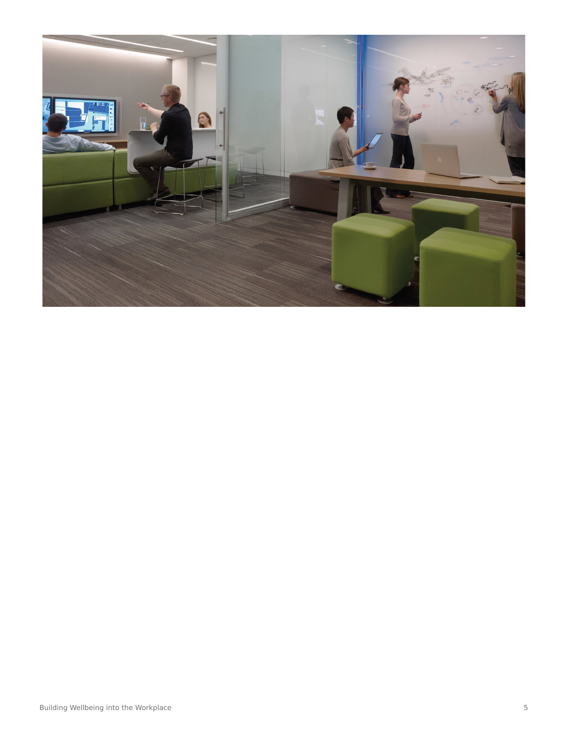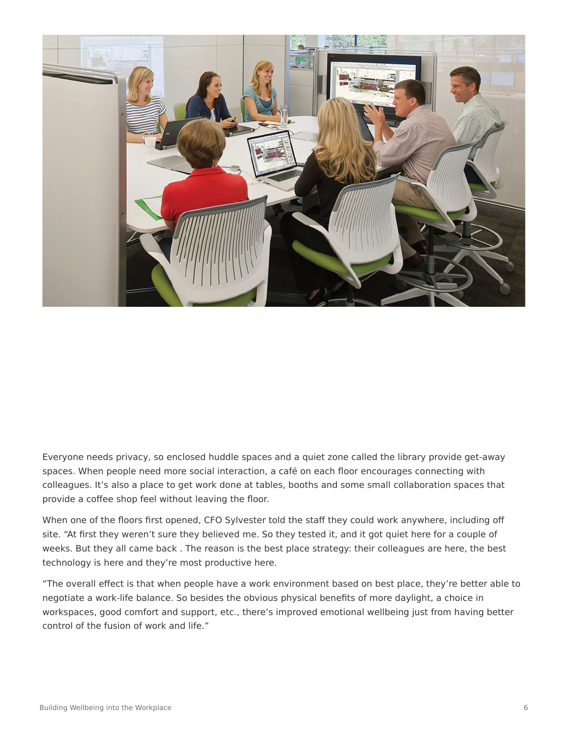

Everyone needs privacy, so enclosed huddle spaces and a quiet zone called the library provide get-away spaces. When people need more social interaction, a café on each floor encourages connecting with colleagues. It's also a place to get work done at tables, booths and some small collaboration spaces that provide a coffee shop feel without leaving the floor.

When one of the floors first opened, CFO Sylvester told the staff they could work anywhere, including off site. "At first they weren't sure they believed me. So they tested it, and it got quiet here for a couple of weeks. But they all came back . The reason is the best place strategy: their colleagues are here, the best technology is here and they're most productive here.

"The overall effect is that when people have a work environment based on best place, they're better able to negotiate a work-life balance. So besides the obvious physical benefits of more daylight, a choice in workspaces, good comfort and support, etc., there's improved emotional wellbeing just from having better control of the fusion of work and life."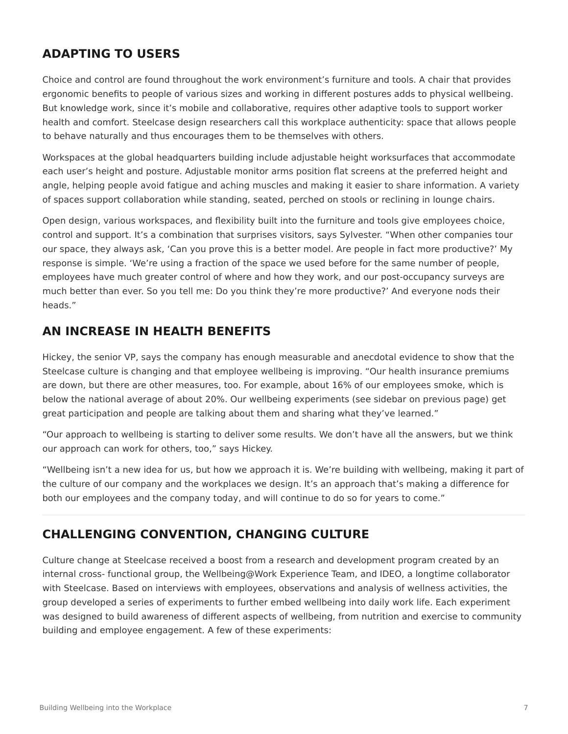# **ADAPTING TO USERS**

Choice and control are found throughout the work environment's furniture and tools. A chair that provides ergonomic benefits to people of various sizes and working in different postures adds to physical wellbeing. But knowledge work, since it's mobile and collaborative, requires other adaptive tools to support worker health and comfort. Steelcase design researchers call this workplace authenticity: space that allows people to behave naturally and thus encourages them to be themselves with others.

Workspaces at the global headquarters building include adjustable height worksurfaces that accommodate each user's height and posture. Adjustable monitor arms position flat screens at the preferred height and angle, helping people avoid fatigue and aching muscles and making it easier to share information. A variety of spaces support collaboration while standing, seated, perched on stools or reclining in lounge chairs.

Open design, various workspaces, and flexibility built into the furniture and tools give employees choice, control and support. It's a combination that surprises visitors, says Sylvester. "When other companies tour our space, they always ask, 'Can you prove this is a better model. Are people in fact more productive?' My response is simple. 'We're using a fraction of the space we used before for the same number of people, employees have much greater control of where and how they work, and our post-occupancy surveys are much better than ever. So you tell me: Do you think they're more productive?' And everyone nods their heads."

### **AN INCREASE IN HEALTH BENEFITS**

Hickey, the senior VP, says the company has enough measurable and anecdotal evidence to show that the Steelcase culture is changing and that employee wellbeing is improving. "Our health insurance premiums are down, but there are other measures, too. For example, about 16% of our employees smoke, which is below the national average of about 20%. Our wellbeing experiments (see sidebar on previous page) get great participation and people are talking about them and sharing what they've learned."

"Our approach to wellbeing is starting to deliver some results. We don't have all the answers, but we think our approach can work for others, too," says Hickey.

"Wellbeing isn't a new idea for us, but how we approach it is. We're building with wellbeing, making it part of the culture of our company and the workplaces we design. It's an approach that's making a difference for both our employees and the company today, and will continue to do so for years to come."

# **CHALLENGING CONVENTION, CHANGING CULTURE**

Culture change at Steelcase received a boost from a research and development program created by an internal cross- functional group, the Wellbeing@Work Experience Team, and IDEO, a longtime collaborator with Steelcase. Based on interviews with employees, observations and analysis of wellness activities, the group developed a series of experiments to further embed wellbeing into daily work life. Each experiment was designed to build awareness of different aspects of wellbeing, from nutrition and exercise to community building and employee engagement. A few of these experiments: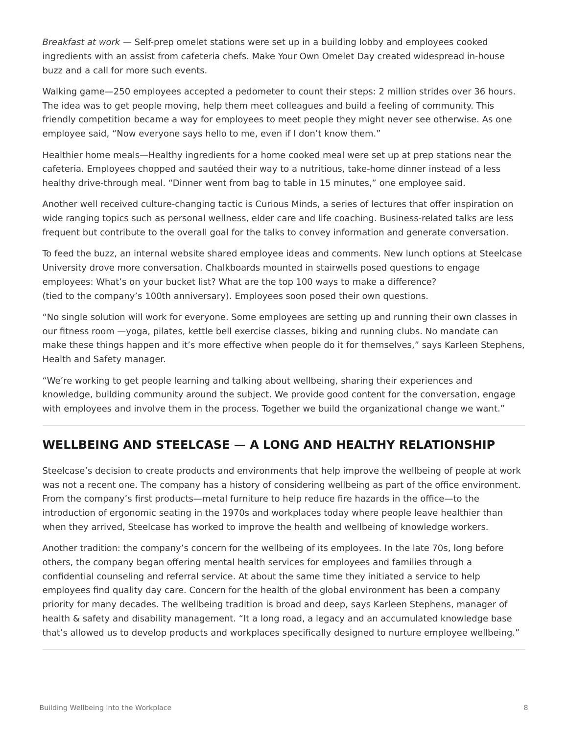*Breakfast at work* — Self-prep omelet stations were set up in a building lobby and employees cooked ingredients with an assist from cafeteria chefs. Make Your Own Omelet Day created widespread in-house buzz and a call for more such events.

Walking game—250 employees accepted a pedometer to count their steps: 2 million strides over 36 hours. The idea was to get people moving, help them meet colleagues and build a feeling of community. This friendly competition became a way for employees to meet people they might never see otherwise. As one employee said, "Now everyone says hello to me, even if I don't know them."

Healthier home meals—Healthy ingredients for a home cooked meal were set up at prep stations near the cafeteria. Employees chopped and sautéed their way to a nutritious, take-home dinner instead of a less healthy drive-through meal. "Dinner went from bag to table in 15 minutes," one employee said.

Another well received culture-changing tactic is Curious Minds, a series of lectures that offer inspiration on wide ranging topics such as personal wellness, elder care and life coaching. Business-related talks are less frequent but contribute to the overall goal for the talks to convey information and generate conversation.

To feed the buzz, an internal website shared employee ideas and comments. New lunch options at Steelcase University drove more conversation. Chalkboards mounted in stairwells posed questions to engage employees: What's on your bucket list? What are the top 100 ways to make a difference? (tied to the company's 100th anniversary). Employees soon posed their own questions.

"No single solution will work for everyone. Some employees are setting up and running their own classes in our fitness room —yoga, pilates, kettle bell exercise classes, biking and running clubs. No mandate can make these things happen and it's more effective when people do it for themselves," says Karleen Stephens, Health and Safety manager.

"We're working to get people learning and talking about wellbeing, sharing their experiences and knowledge, building community around the subject. We provide good content for the conversation, engage with employees and involve them in the process. Together we build the organizational change we want."

# **WELLBEING AND STEELCASE — A LONG AND HEALTHY RELATIONSHIP**

Steelcase's decision to create products and environments that help improve the wellbeing of people at work was not a recent one. The company has a history of considering wellbeing as part of the office environment. From the company's first products—metal furniture to help reduce fire hazards in the office—to the introduction of ergonomic seating in the 1970s and workplaces today where people leave healthier than when they arrived, Steelcase has worked to improve the health and wellbeing of knowledge workers.

Another tradition: the company's concern for the wellbeing of its employees. In the late 70s, long before others, the company began offering mental health services for employees and families through a confidential counseling and referral service. At about the same time they initiated a service to help employees find quality day care. Concern for the health of the global environment has been a company priority for many decades. The wellbeing tradition is broad and deep, says Karleen Stephens, manager of health & safety and disability management. "It a long road, a legacy and an accumulated knowledge base that's allowed us to develop products and workplaces specifically designed to nurture employee wellbeing."